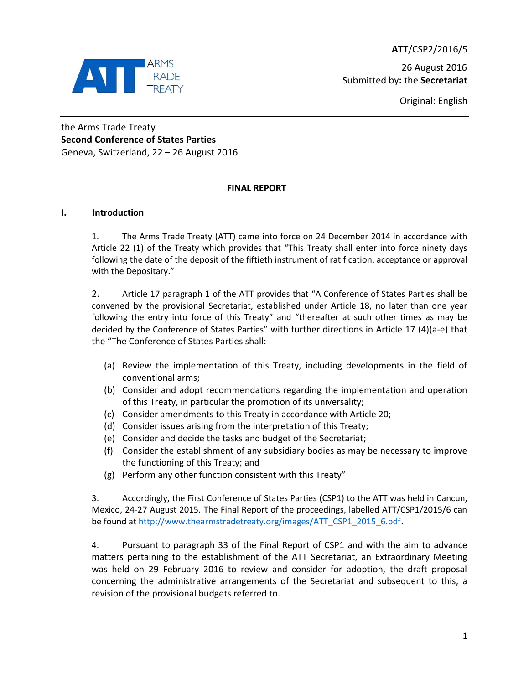**ATT**/CSP2/2016/5



 26 August 2016 Submitted by**:** the **Secretariat**

Original: English

the Arms Trade Treaty **Second Conference of States Parties** Geneva, Switzerland, 22 – 26 August 2016

# **FINAL REPORT**

# **I. Introduction**

1. The Arms Trade Treaty (ATT) came into force on 24 December 2014 in accordance with Article 22 (1) of the Treaty which provides that "This Treaty shall enter into force ninety days following the date of the deposit of the fiftieth instrument of ratification, acceptance or approval with the Depositary."

2. Article 17 paragraph 1 of the ATT provides that "A Conference of States Parties shall be convened by the provisional Secretariat, established under Article 18, no later than one year following the entry into force of this Treaty" and "thereafter at such other times as may be decided by the Conference of States Parties" with further directions in Article 17 (4)(a-e) that the "The Conference of States Parties shall:

- (a) Review the implementation of this Treaty, including developments in the field of conventional arms;
- (b) Consider and adopt recommendations regarding the implementation and operation of this Treaty, in particular the promotion of its universality;
- (c) Consider amendments to this Treaty in accordance with Article 20;
- (d) Consider issues arising from the interpretation of this Treaty;
- (e) Consider and decide the tasks and budget of the Secretariat;
- (f) Consider the establishment of any subsidiary bodies as may be necessary to improve the functioning of this Treaty; and
- (g) Perform any other function consistent with this Treaty"

3. Accordingly, the First Conference of States Parties (CSP1) to the ATT was held in Cancun, Mexico, 24-27 August 2015. The Final Report of the proceedings, labelled ATT/CSP1/2015/6 can be found a[t http://www.thearmstradetreaty.org/images/ATT\\_CSP1\\_2015\\_6.pdf.](http://www.thearmstradetreaty.org/images/ATT_CSP1_2015_6.pdf)

4. Pursuant to paragraph 33 of the Final Report of CSP1 and with the aim to advance matters pertaining to the establishment of the ATT Secretariat, an Extraordinary Meeting was held on 29 February 2016 to review and consider for adoption, the draft proposal concerning the administrative arrangements of the Secretariat and subsequent to this, a revision of the provisional budgets referred to.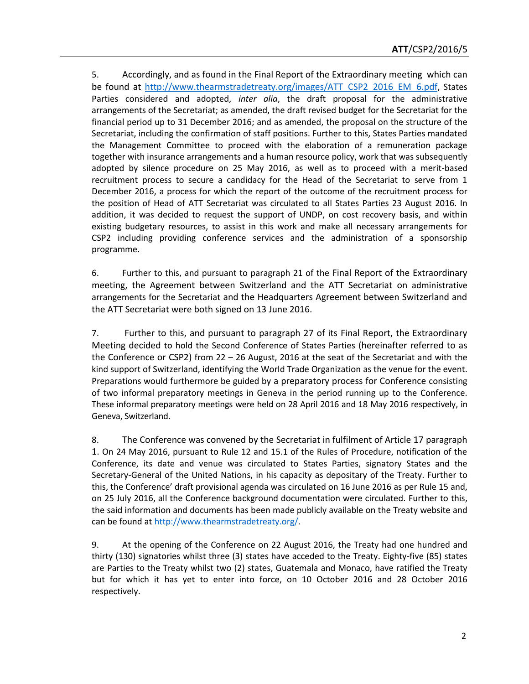5. Accordingly, and as found in the Final Report of the Extraordinary meeting which can be found at [http://www.thearmstradetreaty.org/images/ATT\\_CSP2\\_2016\\_EM\\_6.pdf,](http://www.thearmstradetreaty.org/images/ATT_CSP2_2016_EM_6.pdf) States Parties considered and adopted, *inter alia*, the draft proposal for the administrative arrangements of the Secretariat; as amended, the draft revised budget for the Secretariat for the financial period up to 31 December 2016; and as amended, the proposal on the structure of the Secretariat, including the confirmation of staff positions. Further to this, States Parties mandated the Management Committee to proceed with the elaboration of a remuneration package together with insurance arrangements and a human resource policy, work that was subsequently adopted by silence procedure on 25 May 2016, as well as to proceed with a merit-based recruitment process to secure a candidacy for the Head of the Secretariat to serve from 1 December 2016, a process for which the report of the outcome of the recruitment process for the position of Head of ATT Secretariat was circulated to all States Parties 23 August 2016. In addition, it was decided to request the support of UNDP, on cost recovery basis, and within existing budgetary resources, to assist in this work and make all necessary arrangements for CSP2 including providing conference services and the administration of a sponsorship programme.

6. Further to this, and pursuant to paragraph 21 of the Final Report of the Extraordinary meeting, the Agreement between Switzerland and the ATT Secretariat on administrative arrangements for the Secretariat and the Headquarters Agreement between Switzerland and the ATT Secretariat were both signed on 13 June 2016.

7. Further to this, and pursuant to paragraph 27 of its Final Report, the Extraordinary Meeting decided to hold the Second Conference of States Parties (hereinafter referred to as the Conference or CSP2) from  $22 - 26$  August, 2016 at the seat of the Secretariat and with the kind support of Switzerland, identifying the World Trade Organization as the venue for the event. Preparations would furthermore be guided by a preparatory process for Conference consisting of two informal preparatory meetings in Geneva in the period running up to the Conference. These informal preparatory meetings were held on 28 April 2016 and 18 May 2016 respectively, in Geneva, Switzerland.

8. The Conference was convened by the Secretariat in fulfilment of Article 17 paragraph 1. On 24 May 2016, pursuant to Rule 12 and 15.1 of the Rules of Procedure, notification of the Conference, its date and venue was circulated to States Parties, signatory States and the Secretary-General of the United Nations, in his capacity as depositary of the Treaty. Further to this, the Conference' draft provisional agenda was circulated on 16 June 2016 as per Rule 15 and, on 25 July 2016, all the Conference background documentation were circulated. Further to this, the said information and documents has been made publicly available on the Treaty website and can be found at [http://www.thearmstradetreaty.org/.](http://www.thearmstradetreaty.org/)

9. At the opening of the Conference on 22 August 2016, the Treaty had one hundred and thirty (130) signatories whilst three (3) states have acceded to the Treaty. Eighty-five (85) states are Parties to the Treaty whilst two (2) states, Guatemala and Monaco, have ratified the Treaty but for which it has yet to enter into force, on 10 October 2016 and 28 October 2016 respectively.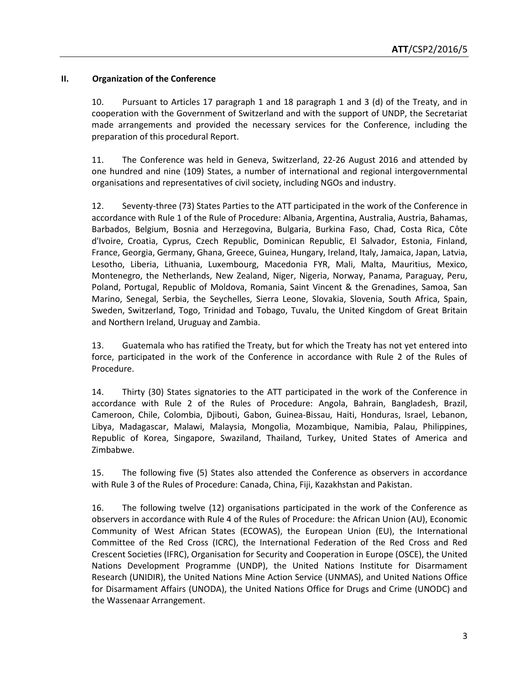# **II. Organization of the Conference**

10. Pursuant to Articles 17 paragraph 1 and 18 paragraph 1 and 3 (d) of the Treaty, and in cooperation with the Government of Switzerland and with the support of UNDP, the Secretariat made arrangements and provided the necessary services for the Conference, including the preparation of this procedural Report.

11. The Conference was held in Geneva, Switzerland, 22-26 August 2016 and attended by one hundred and nine (109) States, a number of international and regional intergovernmental organisations and representatives of civil society, including NGOs and industry.

12. Seventy-three (73) States Parties to the ATT participated in the work of the Conference in accordance with Rule 1 of the Rule of Procedure: Albania, Argentina, Australia, Austria, Bahamas, Barbados, Belgium, Bosnia and Herzegovina, Bulgaria, Burkina Faso, Chad, Costa Rica, Côte d'Ivoire, Croatia, Cyprus, Czech Republic, Dominican Republic, El Salvador, Estonia, Finland, France, Georgia, Germany, Ghana, Greece, Guinea, Hungary, Ireland, Italy, Jamaica, Japan, Latvia, Lesotho, Liberia, Lithuania, Luxembourg, Macedonia FYR, Mali, Malta, Mauritius, Mexico, Montenegro, the Netherlands, New Zealand, Niger, Nigeria, Norway, Panama, Paraguay, Peru, Poland, Portugal, Republic of Moldova, Romania, Saint Vincent & the Grenadines, Samoa, San Marino, Senegal, Serbia, the Seychelles, Sierra Leone, Slovakia, Slovenia, South Africa, Spain, Sweden, Switzerland, Togo, Trinidad and Tobago, Tuvalu, the United Kingdom of Great Britain and Northern Ireland, Uruguay and Zambia.

13. Guatemala who has ratified the Treaty, but for which the Treaty has not yet entered into force, participated in the work of the Conference in accordance with Rule 2 of the Rules of Procedure.

14. Thirty (30) States signatories to the ATT participated in the work of the Conference in accordance with Rule 2 of the Rules of Procedure: Angola, Bahrain, Bangladesh, Brazil, Cameroon, Chile, Colombia, Djibouti, Gabon, Guinea-Bissau, Haiti, Honduras, Israel, Lebanon, Libya, Madagascar, Malawi, Malaysia, Mongolia, Mozambique, Namibia, Palau, Philippines, Republic of Korea, Singapore, Swaziland, Thailand, Turkey, United States of America and Zimbabwe.

15. The following five (5) States also attended the Conference as observers in accordance with Rule 3 of the Rules of Procedure: Canada, China, Fiji, Kazakhstan and Pakistan.

16. The following twelve (12) organisations participated in the work of the Conference as observers in accordance with Rule 4 of the Rules of Procedure: the African Union (AU), Economic Community of West African States (ECOWAS), the European Union (EU), the International Committee of the Red Cross (ICRC), the International Federation of the Red Cross and Red Crescent Societies (IFRC), Organisation for Security and Cooperation in Europe (OSCE), the United Nations Development Programme (UNDP), the United Nations Institute for Disarmament Research (UNIDIR), the United Nations Mine Action Service (UNMAS), and United Nations Office for Disarmament Affairs (UNODA), the United Nations Office for Drugs and Crime (UNODC) and the Wassenaar Arrangement.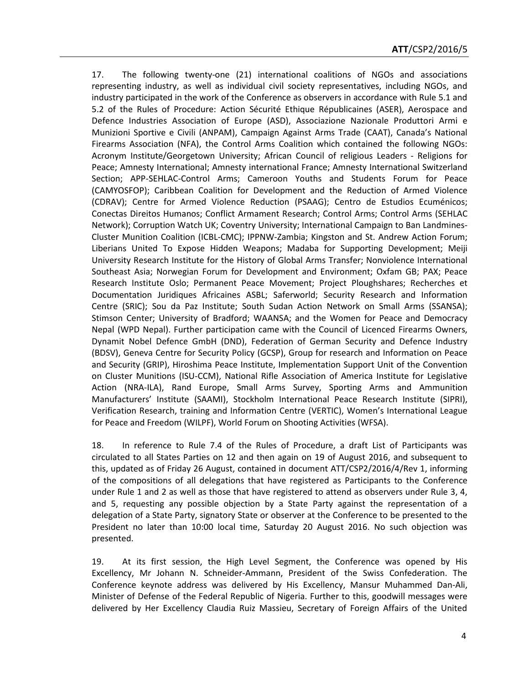17. The following twenty-one (21) international coalitions of NGOs and associations representing industry, as well as individual civil society representatives, including NGOs, and industry participated in the work of the Conference as observers in accordance with Rule 5.1 and 5.2 of the Rules of Procedure: Action Sécurité Ethique Républicaines (ASER), Aerospace and Defence Industries Association of Europe (ASD), Associazione Nazionale Produttori Armi e Munizioni Sportive e Civili (ANPAM), Campaign Against Arms Trade (CAAT), Canada's National Firearms Association (NFA), the Control Arms Coalition which contained the following NGOs: Acronym Institute/Georgetown University; African Council of religious Leaders - Religions for Peace; Amnesty International; Amnesty international France; Amnesty International Switzerland Section; APP-SEHLAC-Control Arms; Cameroon Youths and Students Forum for Peace (CAMYOSFOP); Caribbean Coalition for Development and the Reduction of Armed Violence (CDRAV); Centre for Armed Violence Reduction (PSAAG); Centro de Estudios Ecuménicos; Conectas Direitos Humanos; Conflict Armament Research; Control Arms; Control Arms (SEHLAC Network); Corruption Watch UK; Coventry University; International Campaign to Ban Landmines-Cluster Munition Coalition (ICBL-CMC); IPPNW-Zambia; Kingston and St. Andrew Action Forum; Liberians United To Expose Hidden Weapons; Madaba for Supporting Development; Meiji University Research Institute for the History of Global Arms Transfer; Nonviolence International Southeast Asia; Norwegian Forum for Development and Environment; Oxfam GB; PAX; Peace Research Institute Oslo; Permanent Peace Movement; Project Ploughshares; Recherches et Documentation Juridiques Africaines ASBL; Saferworld; Security Research and Information Centre (SRIC); Sou da Paz Institute; South Sudan Action Network on Small Arms (SSANSA); Stimson Center; University of Bradford; WAANSA; and the Women for Peace and Democracy Nepal (WPD Nepal). Further participation came with the Council of Licenced Firearms Owners, Dynamit Nobel Defence GmbH (DND), Federation of German Security and Defence Industry (BDSV), Geneva Centre for Security Policy (GCSP), Group for research and Information on Peace and Security (GRIP), Hiroshima Peace Institute, Implementation Support Unit of the Convention on Cluster Munitions (ISU-CCM), National Rifle Association of America Institute for Legislative Action (NRA-ILA), Rand Europe, Small Arms Survey, Sporting Arms and Ammunition Manufacturers' Institute (SAAMI), Stockholm International Peace Research Institute (SIPRI), Verification Research, training and Information Centre (VERTIC), Women's International League for Peace and Freedom (WILPF), World Forum on Shooting Activities (WFSA).

18. In reference to Rule 7.4 of the Rules of Procedure, a draft List of Participants was circulated to all States Parties on 12 and then again on 19 of August 2016, and subsequent to this, updated as of Friday 26 August, contained in document ATT/CSP2/2016/4/Rev 1, informing of the compositions of all delegations that have registered as Participants to the Conference under Rule 1 and 2 as well as those that have registered to attend as observers under Rule 3, 4, and 5, requesting any possible objection by a State Party against the representation of a delegation of a State Party, signatory State or observer at the Conference to be presented to the President no later than 10:00 local time, Saturday 20 August 2016. No such objection was presented.

19. At its first session, the High Level Segment, the Conference was opened by His Excellency, Mr Johann N. Schneider-Ammann, President of the Swiss Confederation. The Conference keynote address was delivered by His Excellency, Mansur Muhammed Dan-Ali, Minister of Defense of the Federal Republic of Nigeria. Further to this, goodwill messages were delivered by Her Excellency Claudia Ruiz Massieu, Secretary of Foreign Affairs of the United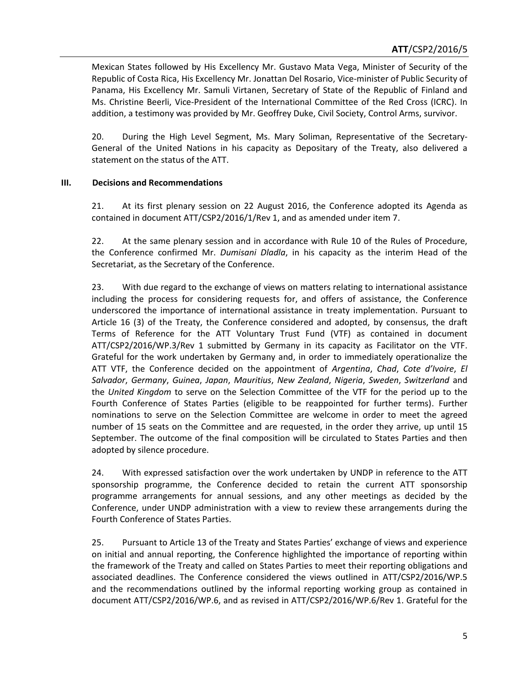Mexican States followed by His Excellency Mr. Gustavo Mata Vega, Minister of Security of the Republic of Costa Rica, His Excellency Mr. Jonattan Del Rosario, Vice-minister of Public Security of Panama, His Excellency Mr. Samuli Virtanen, Secretary of State of the Republic of Finland and Ms. Christine Beerli, Vice-President of the International Committee of the Red Cross (ICRC). In addition, a testimony was provided by Mr. Geoffrey Duke, Civil Society, Control Arms, survivor.

20. During the High Level Segment, Ms. Mary Soliman, Representative of the Secretary-General of the United Nations in his capacity as Depositary of the Treaty, also delivered a statement on the status of the ATT.

# **III. Decisions and Recommendations**

21. At its first plenary session on 22 August 2016, the Conference adopted its Agenda as contained in document ATT/CSP2/2016/1/Rev 1, and as amended under item 7.

22. At the same plenary session and in accordance with Rule 10 of the Rules of Procedure, the Conference confirmed Mr. *Dumisani Dladla*, in his capacity as the interim Head of the Secretariat, as the Secretary of the Conference.

23. With due regard to the exchange of views on matters relating to international assistance including the process for considering requests for, and offers of assistance, the Conference underscored the importance of international assistance in treaty implementation. Pursuant to Article 16 (3) of the Treaty, the Conference considered and adopted, by consensus, the draft Terms of Reference for the ATT Voluntary Trust Fund (VTF) as contained in document ATT/CSP2/2016/WP.3/Rev 1 submitted by Germany in its capacity as Facilitator on the VTF. Grateful for the work undertaken by Germany and, in order to immediately operationalize the ATT VTF, the Conference decided on the appointment of *Argentina*, *Chad*, *Cote d'Ivoire*, *El Salvador*, *Germany*, *Guinea*, *Japan*, *Mauritius*, *New Zealand*, *Nigeria*, *Sweden*, *Switzerland* and the *United Kingdom* to serve on the Selection Committee of the VTF for the period up to the Fourth Conference of States Parties (eligible to be reappointed for further terms). Further nominations to serve on the Selection Committee are welcome in order to meet the agreed number of 15 seats on the Committee and are requested, in the order they arrive, up until 15 September. The outcome of the final composition will be circulated to States Parties and then adopted by silence procedure.

24. With expressed satisfaction over the work undertaken by UNDP in reference to the ATT sponsorship programme, the Conference decided to retain the current ATT sponsorship programme arrangements for annual sessions, and any other meetings as decided by the Conference, under UNDP administration with a view to review these arrangements during the Fourth Conference of States Parties.

25. Pursuant to Article 13 of the Treaty and States Parties' exchange of views and experience on initial and annual reporting, the Conference highlighted the importance of reporting within the framework of the Treaty and called on States Parties to meet their reporting obligations and associated deadlines. The Conference considered the views outlined in ATT/CSP2/2016/WP.5 and the recommendations outlined by the informal reporting working group as contained in document ATT/CSP2/2016/WP.6, and as revised in ATT/CSP2/2016/WP.6/Rev 1. Grateful for the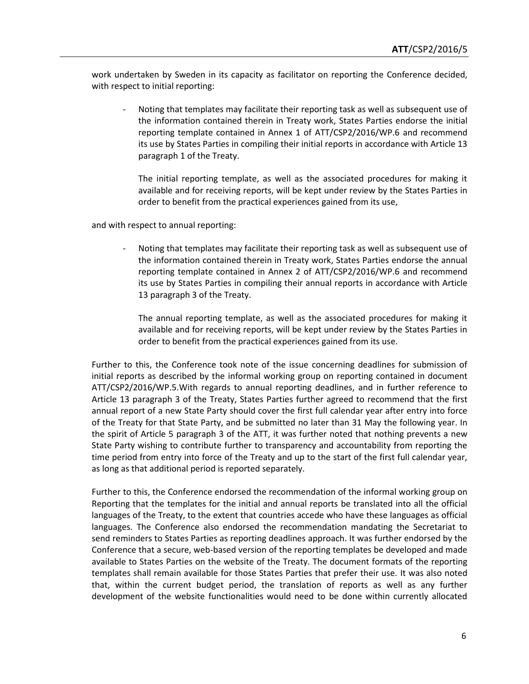work undertaken by Sweden in its capacity as facilitator on reporting the Conference decided, with respect to initial reporting:

Noting that templates may facilitate their reporting task as well as subsequent use of the information contained therein in Treaty work, States Parties endorse the initial reporting template contained in Annex 1 of ATT/CSP2/2016/WP.6 and recommend its use by States Parties in compiling their initial reports in accordance with Article 13 paragraph 1 of the Treaty.

The initial reporting template, as well as the associated procedures for making it available and for receiving reports, will be kept under review by the States Parties in order to benefit from the practical experiences gained from its use,

and with respect to annual reporting:

- Noting that templates may facilitate their reporting task as well as subsequent use of the information contained therein in Treaty work, States Parties endorse the annual reporting template contained in Annex 2 of ATT/CSP2/2016/WP.6 and recommend its use by States Parties in compiling their annual reports in accordance with Article 13 paragraph 3 of the Treaty.

The annual reporting template, as well as the associated procedures for making it available and for receiving reports, will be kept under review by the States Parties in order to benefit from the practical experiences gained from its use.

Further to this, the Conference took note of the issue concerning deadlines for submission of initial reports as described by the informal working group on reporting contained in document ATT/CSP2/2016/WP.5.With regards to annual reporting deadlines, and in further reference to Article 13 paragraph 3 of the Treaty, States Parties further agreed to recommend that the first annual report of a new State Party should cover the first full calendar year after entry into force of the Treaty for that State Party, and be submitted no later than 31 May the following year. In the spirit of Article 5 paragraph 3 of the ATT, it was further noted that nothing prevents a new State Party wishing to contribute further to transparency and accountability from reporting the time period from entry into force of the Treaty and up to the start of the first full calendar year, as long as that additional period is reported separately.

Further to this, the Conference endorsed the recommendation of the informal working group on Reporting that the templates for the initial and annual reports be translated into all the official languages of the Treaty, to the extent that countries accede who have these languages as official languages. The Conference also endorsed the recommendation mandating the Secretariat to send reminders to States Parties as reporting deadlines approach. It was further endorsed by the Conference that a secure, web-based version of the reporting templates be developed and made available to States Parties on the website of the Treaty. The document formats of the reporting templates shall remain available for those States Parties that prefer their use. It was also noted that, within the current budget period, the translation of reports as well as any further development of the website functionalities would need to be done within currently allocated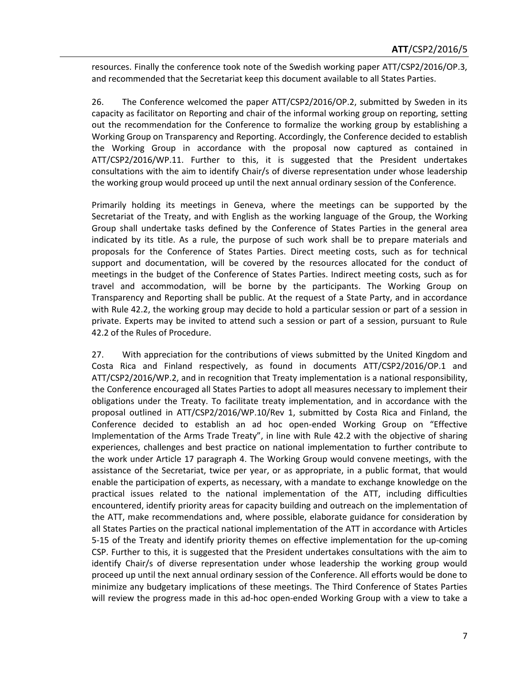resources. Finally the conference took note of the Swedish working paper ATT/CSP2/2016/OP.3, and recommended that the Secretariat keep this document available to all States Parties.

26. The Conference welcomed the paper ATT/CSP2/2016/OP.2, submitted by Sweden in its capacity as facilitator on Reporting and chair of the informal working group on reporting, setting out the recommendation for the Conference to formalize the working group by establishing a Working Group on Transparency and Reporting. Accordingly, the Conference decided to establish the Working Group in accordance with the proposal now captured as contained in ATT/CSP2/2016/WP.11. Further to this, it is suggested that the President undertakes consultations with the aim to identify Chair/s of diverse representation under whose leadership the working group would proceed up until the next annual ordinary session of the Conference.

Primarily holding its meetings in Geneva, where the meetings can be supported by the Secretariat of the Treaty, and with English as the working language of the Group, the Working Group shall undertake tasks defined by the Conference of States Parties in the general area indicated by its title. As a rule, the purpose of such work shall be to prepare materials and proposals for the Conference of States Parties. Direct meeting costs, such as for technical support and documentation, will be covered by the resources allocated for the conduct of meetings in the budget of the Conference of States Parties. Indirect meeting costs, such as for travel and accommodation, will be borne by the participants. The Working Group on Transparency and Reporting shall be public. At the request of a State Party, and in accordance with Rule 42.2, the working group may decide to hold a particular session or part of a session in private. Experts may be invited to attend such a session or part of a session, pursuant to Rule 42.2 of the Rules of Procedure.

27. With appreciation for the contributions of views submitted by the United Kingdom and Costa Rica and Finland respectively, as found in documents ATT/CSP2/2016/OP.1 and ATT/CSP2/2016/WP.2, and in recognition that Treaty implementation is a national responsibility, the Conference encouraged all States Parties to adopt all measures necessary to implement their obligations under the Treaty. To facilitate treaty implementation, and in accordance with the proposal outlined in ATT/CSP2/2016/WP.10/Rev 1, submitted by Costa Rica and Finland, the Conference decided to establish an ad hoc open-ended Working Group on "Effective Implementation of the Arms Trade Treaty", in line with Rule 42.2 with the objective of sharing experiences, challenges and best practice on national implementation to further contribute to the work under Article 17 paragraph 4. The Working Group would convene meetings, with the assistance of the Secretariat, twice per year, or as appropriate, in a public format, that would enable the participation of experts, as necessary, with a mandate to exchange knowledge on the practical issues related to the national implementation of the ATT, including difficulties encountered, identify priority areas for capacity building and outreach on the implementation of the ATT, make recommendations and, where possible, elaborate guidance for consideration by all States Parties on the practical national implementation of the ATT in accordance with Articles 5-15 of the Treaty and identify priority themes on effective implementation for the up-coming CSP. Further to this, it is suggested that the President undertakes consultations with the aim to identify Chair/s of diverse representation under whose leadership the working group would proceed up until the next annual ordinary session of the Conference. All efforts would be done to minimize any budgetary implications of these meetings. The Third Conference of States Parties will review the progress made in this ad-hoc open-ended Working Group with a view to take a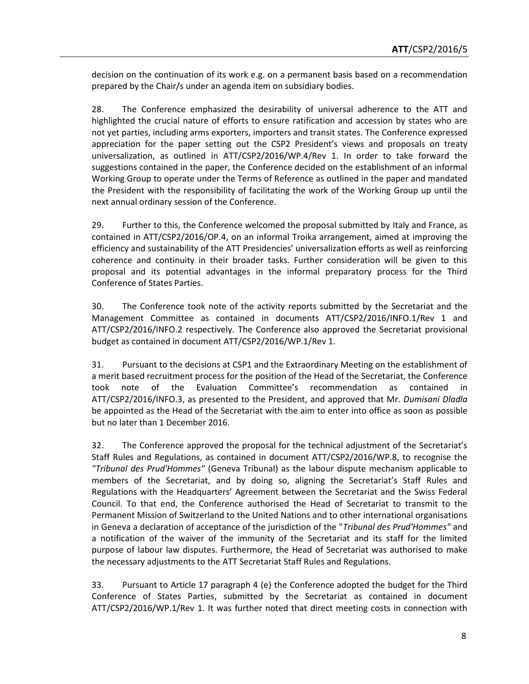decision on the continuation of its work e.g. on a permanent basis based on a recommendation prepared by the Chair/s under an agenda item on subsidiary bodies.

28. The Conference emphasized the desirability of universal adherence to the ATT and highlighted the crucial nature of efforts to ensure ratification and accession by states who are not yet parties, including arms exporters, importers and transit states. The Conference expressed appreciation for the paper setting out the CSP2 President's views and proposals on treaty universalization, as outlined in ATT/CSP2/2016/WP.4/Rev 1. In order to take forward the suggestions contained in the paper, the Conference decided on the establishment of an informal Working Group to operate under the Terms of Reference as outlined in the paper and mandated the President with the responsibility of facilitating the work of the Working Group up until the next annual ordinary session of the Conference.

29. Further to this, the Conference welcomed the proposal submitted by Italy and France, as contained in ATT/CSP2/2016/OP.4, on an informal Troika arrangement, aimed at improving the efficiency and sustainability of the ATT Presidencies' universalization efforts as well as reinforcing coherence and continuity in their broader tasks. Further consideration will be given to this proposal and its potential advantages in the informal preparatory process for the Third Conference of States Parties.

30. The Conference took note of the activity reports submitted by the Secretariat and the Management Committee as contained in documents ATT/CSP2/2016/INFO.1/Rev 1 and ATT/CSP2/2016/INFO.2 respectively. The Conference also approved the Secretariat provisional budget as contained in document ATT/CSP2/2016/WP.1/Rev 1.

31. Pursuant to the decisions at CSP1 and the Extraordinary Meeting on the establishment of a merit based recruitment process for the position of the Head of the Secretariat, the Conference took note of the Evaluation Committee's recommendation as contained in ATT/CSP2/2016/INFO.3, as presented to the President, and approved that Mr. *Dumisani Dladla* be appointed as the Head of the Secretariat with the aim to enter into office as soon as possible but no later than 1 December 2016.

32. The Conference approved the proposal for the technical adjustment of the Secretariat's Staff Rules and Regulations, as contained in document ATT/CSP2/2016/WP.8, to recognise the *"Tribunal des Prud'Hommes"* (Geneva Tribunal) as the labour dispute mechanism applicable to members of the Secretariat, and by doing so, aligning the Secretariat's Staff Rules and Regulations with the Headquarters' Agreement between the Secretariat and the Swiss Federal Council. To that end, the Conference authorised the Head of Secretariat to transmit to the Permanent Mission of Switzerland to the United Nations and to other international organisations in Geneva a declaration of acceptance of the jurisdiction of the "*Tribunal des Prud'Hommes"* and a notification of the waiver of the immunity of the Secretariat and its staff for the limited purpose of labour law disputes. Furthermore, the Head of Secretariat was authorised to make the necessary adjustments to the ATT Secretariat Staff Rules and Regulations.

33. Pursuant to Article 17 paragraph 4 (e) the Conference adopted the budget for the Third Conference of States Parties, submitted by the Secretariat as contained in document ATT/CSP2/2016/WP.1/Rev 1. It was further noted that direct meeting costs in connection with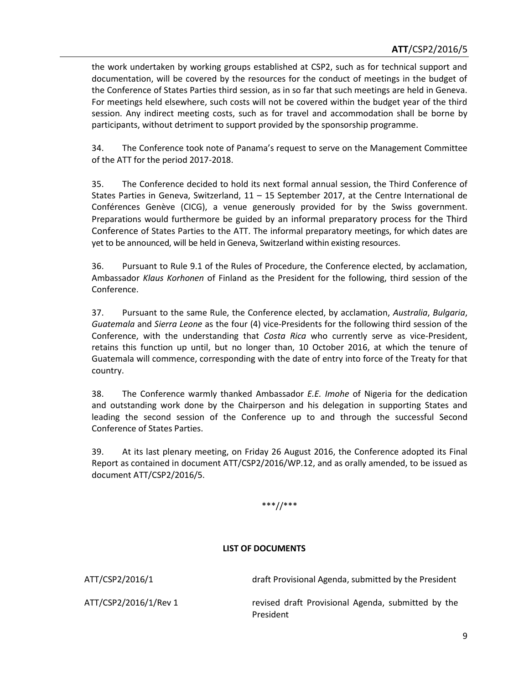the work undertaken by working groups established at CSP2, such as for technical support and documentation, will be covered by the resources for the conduct of meetings in the budget of the Conference of States Parties third session, as in so far that such meetings are held in Geneva. For meetings held elsewhere, such costs will not be covered within the budget year of the third session. Any indirect meeting costs, such as for travel and accommodation shall be borne by participants, without detriment to support provided by the sponsorship programme.

34. The Conference took note of Panama's request to serve on the Management Committee of the ATT for the period 2017-2018.

35. The Conference decided to hold its next formal annual session, the Third Conference of States Parties in Geneva, Switzerland,  $11 - 15$  September 2017, at the Centre International de Conférences Genève (CICG), a venue generously provided for by the Swiss government. Preparations would furthermore be guided by an informal preparatory process for the Third Conference of States Parties to the ATT. The informal preparatory meetings, for which dates are yet to be announced, will be held in Geneva, Switzerland within existing resources.

36. Pursuant to Rule 9.1 of the Rules of Procedure, the Conference elected, by acclamation, Ambassador *Klaus Korhonen* of Finland as the President for the following, third session of the Conference.

37. Pursuant to the same Rule, the Conference elected, by acclamation, *Australia*, *Bulgaria*, *Guatemala* and *Sierra Leone* as the four (4) vice-Presidents for the following third session of the Conference, with the understanding that *Costa Rica* who currently serve as vice-President, retains this function up until, but no longer than, 10 October 2016, at which the tenure of Guatemala will commence, corresponding with the date of entry into force of the Treaty for that country.

38. The Conference warmly thanked Ambassador *E.E. Imohe* of Nigeria for the dedication and outstanding work done by the Chairperson and his delegation in supporting States and leading the second session of the Conference up to and through the successful Second Conference of States Parties.

39. At its last plenary meeting, on Friday 26 August 2016, the Conference adopted its Final Report as contained in document ATT/CSP2/2016/WP.12, and as orally amended, to be issued as document ATT/CSP2/2016/5.

# \*\*\*//\*\*\*

#### **LIST OF DOCUMENTS**

ATT/CSP2/2016/1 draft Provisional Agenda, submitted by the President

ATT/CSP2/2016/1/Rev 1 revised draft Provisional Agenda, submitted by the President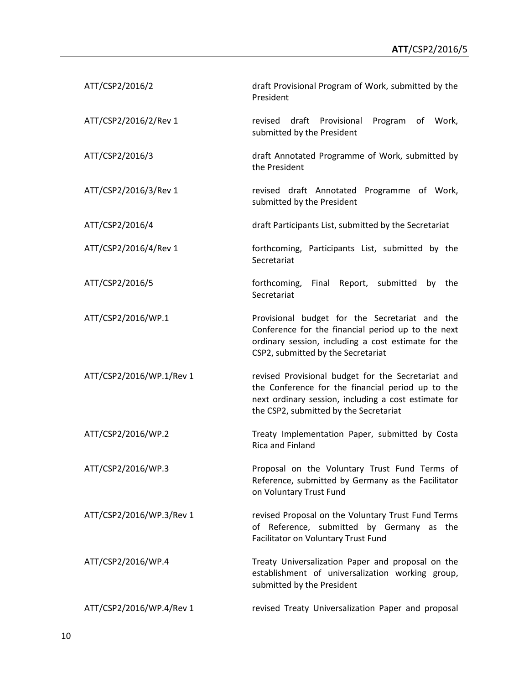| ATT/CSP2/2016/2          | draft Provisional Program of Work, submitted by the<br>President                                                                                                                                          |
|--------------------------|-----------------------------------------------------------------------------------------------------------------------------------------------------------------------------------------------------------|
| ATT/CSP2/2016/2/Rev 1    | draft Provisional<br>Program<br>of Work,<br>revised<br>submitted by the President                                                                                                                         |
| ATT/CSP2/2016/3          | draft Annotated Programme of Work, submitted by<br>the President                                                                                                                                          |
| ATT/CSP2/2016/3/Rev 1    | revised draft Annotated Programme of Work,<br>submitted by the President                                                                                                                                  |
| ATT/CSP2/2016/4          | draft Participants List, submitted by the Secretariat                                                                                                                                                     |
| ATT/CSP2/2016/4/Rev 1    | forthcoming, Participants List, submitted by the<br>Secretariat                                                                                                                                           |
| ATT/CSP2/2016/5          | forthcoming,<br>Final Report, submitted<br>by the<br>Secretariat                                                                                                                                          |
| ATT/CSP2/2016/WP.1       | Provisional budget for the Secretariat and the<br>Conference for the financial period up to the next<br>ordinary session, including a cost estimate for the<br>CSP2, submitted by the Secretariat         |
| ATT/CSP2/2016/WP.1/Rev 1 | revised Provisional budget for the Secretariat and<br>the Conference for the financial period up to the<br>next ordinary session, including a cost estimate for<br>the CSP2, submitted by the Secretariat |
| ATT/CSP2/2016/WP.2       | Treaty Implementation Paper, submitted by Costa<br>Rica and Finland                                                                                                                                       |
| ATT/CSP2/2016/WP.3       | Proposal on the Voluntary Trust Fund Terms of<br>Reference, submitted by Germany as the Facilitator<br>on Voluntary Trust Fund                                                                            |
| ATT/CSP2/2016/WP.3/Rev 1 | revised Proposal on the Voluntary Trust Fund Terms<br>Reference, submitted by Germany as the<br>of<br>Facilitator on Voluntary Trust Fund                                                                 |
| ATT/CSP2/2016/WP.4       | Treaty Universalization Paper and proposal on the<br>establishment of universalization working group,<br>submitted by the President                                                                       |
| ATT/CSP2/2016/WP.4/Rev 1 | revised Treaty Universalization Paper and proposal                                                                                                                                                        |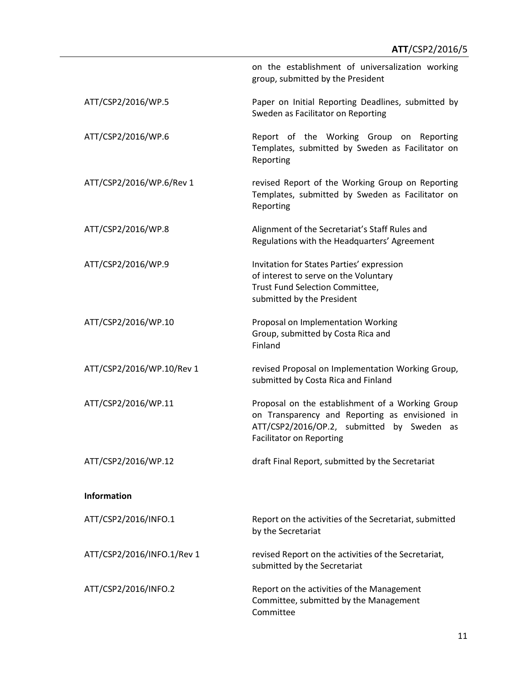on the establishment of universalization working group, submitted by the President ATT/CSP2/2016/WP.5 Paper on Initial Reporting Deadlines, submitted by Sweden as Facilitator on Reporting ATT/CSP2/2016/WP.6 Report of the Working Group on Reporting Templates, submitted by Sweden as Facilitator on Reporting ATT/CSP2/2016/WP.6/Rev 1 revised Report of the Working Group on Reporting Templates, submitted by Sweden as Facilitator on Reporting ATT/CSP2/2016/WP.8 Alignment of the Secretariat's Staff Rules and Regulations with the Headquarters' Agreement ATT/CSP2/2016/WP.9 Invitation for States Parties' expression of interest to serve on the Voluntary Trust Fund Selection Committee, submitted by the President ATT/CSP2/2016/WP.10 Proposal on Implementation Working Group, submitted by Costa Rica and Finland ATT/CSP2/2016/WP.10/Rev 1 revised Proposal on Implementation Working Group, submitted by Costa Rica and Finland ATT/CSP2/2016/WP.11 Proposal on the establishment of a Working Group on Transparency and Reporting as envisioned in ATT/CSP2/2016/OP.2, submitted by Sweden as Facilitator on Reporting ATT/CSP2/2016/WP.12 draft Final Report, submitted by the Secretariat **Information** ATT/CSP2/2016/INFO.1 Report on the activities of the Secretariat, submitted by the Secretariat ATT/CSP2/2016/INFO.1/Rev 1 revised Report on the activities of the Secretariat, submitted by the Secretariat ATT/CSP2/2016/INFO.2 Report on the activities of the Management Committee, submitted by the Management Committee